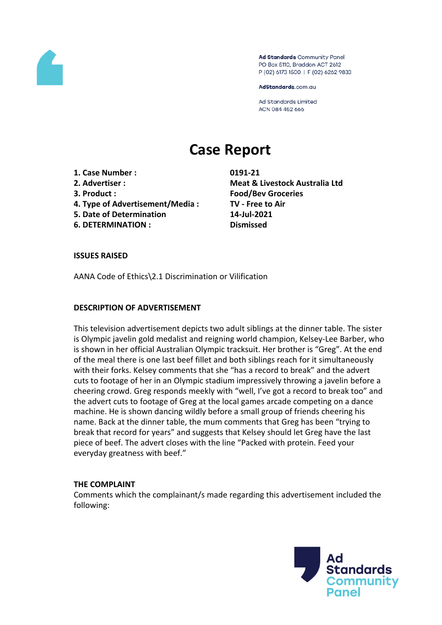

Ad Standards Community Panel PO Box 5110, Braddon ACT 2612 P (02) 6173 1500 | F (02) 6262 9833

AdStandards.com.au

**Ad Standards Limited** ACN 084 452 666

# **Case Report**

- **1. Case Number : 0191-21**
- 
- 
- **4. Type of Advertisement/Media : TV - Free to Air**
- **5. Date of Determination 14-Jul-2021**
- **6. DETERMINATION : Dismissed**

**2. Advertiser : Meat & Livestock Australia Ltd 3. Product : Food/Bev Groceries**

# **ISSUES RAISED**

AANA Code of Ethics\2.1 Discrimination or Vilification

# **DESCRIPTION OF ADVERTISEMENT**

This television advertisement depicts two adult siblings at the dinner table. The sister is Olympic javelin gold medalist and reigning world champion, Kelsey-Lee Barber, who is shown in her official Australian Olympic tracksuit. Her brother is "Greg". At the end of the meal there is one last beef fillet and both siblings reach for it simultaneously with their forks. Kelsey comments that she "has a record to break" and the advert cuts to footage of her in an Olympic stadium impressively throwing a javelin before a cheering crowd. Greg responds meekly with "well, I've got a record to break too" and the advert cuts to footage of Greg at the local games arcade competing on a dance machine. He is shown dancing wildly before a small group of friends cheering his name. Back at the dinner table, the mum comments that Greg has been "trying to break that record for years" and suggests that Kelsey should let Greg have the last piece of beef. The advert closes with the line "Packed with protein. Feed your everyday greatness with beef."

# **THE COMPLAINT**

Comments which the complainant/s made regarding this advertisement included the following:

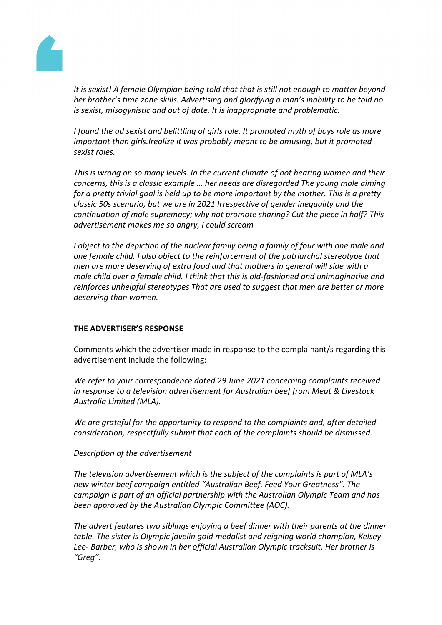

*It is sexist! A female Olympian being told that that is still not enough to matter beyond her brother's time zone skills. Advertising and glorifying a man's inability to be told no is sexist, misogynistic and out of date. It is inappropriate and problematic.*

*I found the ad sexist and belittling of girls role. It promoted myth of boys role as more important than girls.Irealize it was probably meant to be amusing, but it promoted sexist roles.*

*This is wrong on so many levels. In the current climate of not hearing women and their concerns, this is a classic example … her needs are disregarded The young male aiming for a pretty trivial goal is held up to be more important by the mother. This is a pretty classic 50s scenario, but we are in 2021 Irrespective of gender inequality and the continuation of male supremacy; why not promote sharing? Cut the piece in half? This advertisement makes me so angry, I could scream*

*I object to the depiction of the nuclear family being a family of four with one male and one female child. I also object to the reinforcement of the patriarchal stereotype that men are more deserving of extra food and that mothers in general will side with a male child over a female child. I think that this is old-fashioned and unimaginative and reinforces unhelpful stereotypes That are used to suggest that men are better or more deserving than women.*

# **THE ADVERTISER'S RESPONSE**

Comments which the advertiser made in response to the complainant/s regarding this advertisement include the following:

*We refer to your correspondence dated 29 June 2021 concerning complaints received in response to a television advertisement for Australian beef from Meat & Livestock Australia Limited (MLA).*

*We are grateful for the opportunity to respond to the complaints and, after detailed consideration, respectfully submit that each of the complaints should be dismissed.*

# *Description of the advertisement*

*The television advertisement which is the subject of the complaints is part of MLA's new winter beef campaign entitled "Australian Beef. Feed Your Greatness". The campaign is part of an official partnership with the Australian Olympic Team and has been approved by the Australian Olympic Committee (AOC).*

*The advert features two siblings enjoying a beef dinner with their parents at the dinner table. The sister is Olympic javelin gold medalist and reigning world champion, Kelsey Lee- Barber, who is shown in her official Australian Olympic tracksuit. Her brother is "Greg".*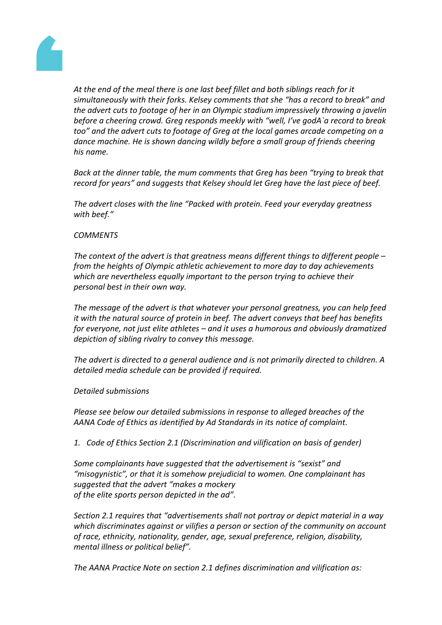

*At the end of the meal there is one last beef fillet and both siblings reach for it simultaneously with their forks. Kelsey comments that she "has a record to break" and the advert cuts to footage of her in an Olympic stadium impressively throwing a javelin before a cheering crowd. Greg responds meekly with "well, I've godA`a record to break too" and the advert cuts to footage of Greg at the local games arcade competing on a dance machine. He is shown dancing wildly before a small group of friends cheering his name.*

*Back at the dinner table, the mum comments that Greg has been "trying to break that record for years" and suggests that Kelsey should let Greg have the last piece of beef.*

*The advert closes with the line "Packed with protein. Feed your everyday greatness with beef."*

#### *COMMENTS*

*The context of the advert is that greatness means different things to different people – from the heights of Olympic athletic achievement to more day to day achievements which are nevertheless equally important to the person trying to achieve their personal best in their own way.*

*The message of the advert is that whatever your personal greatness, you can help feed it with the natural source of protein in beef. The advert conveys that beef has benefits for everyone, not just elite athletes – and it uses a humorous and obviously dramatized depiction of sibling rivalry to convey this message.*

*The advert is directed to a general audience and is not primarily directed to children. A detailed media schedule can be provided if required.*

#### *Detailed submissions*

*Please see below our detailed submissions in response to alleged breaches of the AANA Code of Ethics as identified by Ad Standards in its notice of complaint.*

*1. Code of Ethics Section 2.1 (Discrimination and vilification on basis of gender)*

*Some complainants have suggested that the advertisement is "sexist" and "misogynistic", or that it is somehow prejudicial to women. One complainant has suggested that the advert "makes a mockery of the elite sports person depicted in the ad".*

*Section 2.1 requires that "advertisements shall not portray or depict material in a way which discriminates against or vilifies a person or section of the community on account of race, ethnicity, nationality, gender, age, sexual preference, religion, disability, mental illness or political belief".*

*The AANA Practice Note on section 2.1 defines discrimination and vilification as:*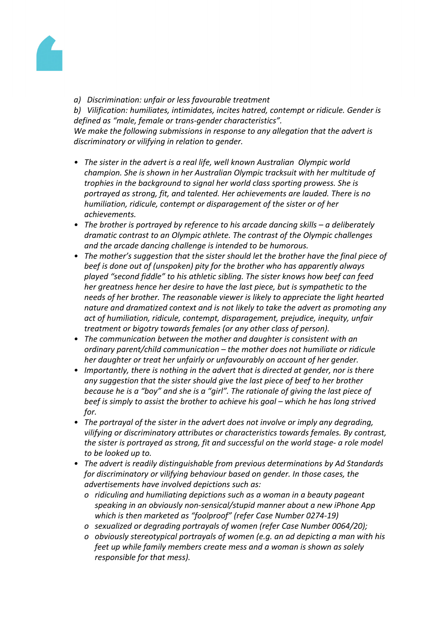

# *a) Discrimination: unfair or less favourable treatment*

*b) Vilification: humiliates, intimidates, incites hatred, contempt or ridicule. Gender is defined as "male, female or trans-gender characteristics". We make the following submissions in response to any allegation that the advert is discriminatory or vilifying in relation to gender.*

- *• The sister in the advert is a real life, well known Australian Olympic world champion. She is shown in her Australian Olympic tracksuit with her multitude of trophies in the background to signal her world class sporting prowess. She is portrayed as strong, fit, and talented. Her achievements are lauded. There is no humiliation, ridicule, contempt or disparagement of the sister or of her achievements.*
- *• The brother is portrayed by reference to his arcade dancing skills – a deliberately dramatic contrast to an Olympic athlete. The contrast of the Olympic challenges and the arcade dancing challenge is intended to be humorous.*
- *• The mother's suggestion that the sister should let the brother have the final piece of beef is done out of (unspoken) pity for the brother who has apparently always played "second fiddle" to his athletic sibling. The sister knows how beef can feed her greatness hence her desire to have the last piece, but is sympathetic to the needs of her brother. The reasonable viewer is likely to appreciate the light hearted nature and dramatized context and is not likely to take the advert as promoting any act of humiliation, ridicule, contempt, disparagement, prejudice, inequity, unfair treatment or bigotry towards females (or any other class of person).*
- *• The communication between the mother and daughter is consistent with an ordinary parent/child communication – the mother does not humiliate or ridicule her daughter or treat her unfairly or unfavourably on account of her gender.*
- *• Importantly, there is nothing in the advert that is directed at gender, nor is there any suggestion that the sister should give the last piece of beef to her brother because he is a "boy" and she is a "girl". The rationale of giving the last piece of beef is simply to assist the brother to achieve his goal – which he has long strived for.*
- *• The portrayal of the sister in the advert does not involve or imply any degrading, vilifying or discriminatory attributes or characteristics towards females. By contrast, the sister is portrayed as strong, fit and successful on the world stage- a role model to be looked up to.*
- *• The advert is readily distinguishable from previous determinations by Ad Standards for discriminatory or vilifying behaviour based on gender. In those cases, the advertisements have involved depictions such as:*
	- *o ridiculing and humiliating depictions such as a woman in a beauty pageant speaking in an obviously non-sensical/stupid manner about a new iPhone App which is then marketed as "foolproof" (refer Case Number 0274-19)*
	- *o sexualized or degrading portrayals of women (refer Case Number 0064/20);*
	- *o obviously stereotypical portrayals of women (e.g. an ad depicting a man with his feet up while family members create mess and a woman is shown as solely responsible for that mess).*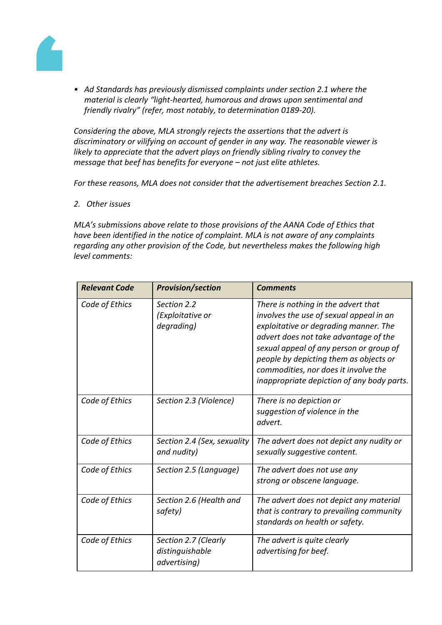

*• Ad Standards has previously dismissed complaints under section 2.1 where the material is clearly "light-hearted, humorous and draws upon sentimental and friendly rivalry" (refer, most notably, to determination 0189-20).*

*Considering the above, MLA strongly rejects the assertions that the advert is discriminatory or vilifying on account of gender in any way. The reasonable viewer is likely to appreciate that the advert plays on friendly sibling rivalry to convey the message that beef has benefits for everyone – not just elite athletes.*

*For these reasons, MLA does not consider that the advertisement breaches Section 2.1.*

# *2. Other issues*

*MLA's submissions above relate to those provisions of the AANA Code of Ethics that have been identified in the notice of complaint. MLA is not aware of any complaints regarding any other provision of the Code, but nevertheless makes the following high level comments:*

| <b>Relevant Code</b> | <b>Provision/section</b>                                | <b>Comments</b>                                                                                                                                                                                                                                                                                                                             |
|----------------------|---------------------------------------------------------|---------------------------------------------------------------------------------------------------------------------------------------------------------------------------------------------------------------------------------------------------------------------------------------------------------------------------------------------|
| Code of Ethics       | Section 2.2<br>(Exploitative or<br>degrading)           | There is nothing in the advert that<br>involves the use of sexual appeal in an<br>exploitative or degrading manner. The<br>advert does not take advantage of the<br>sexual appeal of any person or group of<br>people by depicting them as objects or<br>commodities, nor does it involve the<br>inappropriate depiction of any body parts. |
| Code of Ethics       | Section 2.3 (Violence)                                  | There is no depiction or<br>suggestion of violence in the<br>advert.                                                                                                                                                                                                                                                                        |
| Code of Ethics       | Section 2.4 (Sex, sexuality<br>and nudity)              | The advert does not depict any nudity or<br>sexually suggestive content.                                                                                                                                                                                                                                                                    |
| Code of Ethics       | Section 2.5 (Language)                                  | The advert does not use any<br>strong or obscene language.                                                                                                                                                                                                                                                                                  |
| Code of Ethics       | Section 2.6 (Health and<br>safety)                      | The advert does not depict any material<br>that is contrary to prevailing community<br>standards on health or safety.                                                                                                                                                                                                                       |
| Code of Ethics       | Section 2.7 (Clearly<br>distinguishable<br>advertising) | The advert is quite clearly<br>advertising for beef.                                                                                                                                                                                                                                                                                        |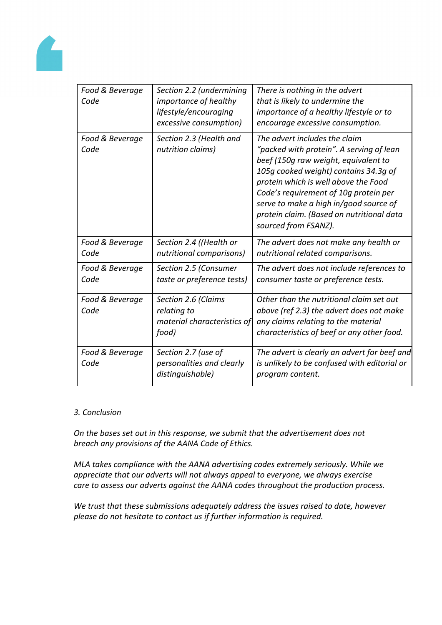

| Food & Beverage<br>Code | Section 2.2 (undermining<br>importance of healthy<br>lifestyle/encouraging<br>excessive consumption) | There is nothing in the advert<br>that is likely to undermine the<br>importance of a healthy lifestyle or to<br>encourage excessive consumption.                                                                                                                                                                                                           |
|-------------------------|------------------------------------------------------------------------------------------------------|------------------------------------------------------------------------------------------------------------------------------------------------------------------------------------------------------------------------------------------------------------------------------------------------------------------------------------------------------------|
| Food & Beverage<br>Code | Section 2.3 (Health and<br>nutrition claims)                                                         | The advert includes the claim<br>"packed with protein". A serving of lean<br>beef (150g raw weight, equivalent to<br>105g cooked weight) contains 34.3g of<br>protein which is well above the Food<br>Code's requirement of 10g protein per<br>serve to make a high in/good source of<br>protein claim. (Based on nutritional data<br>sourced from FSANZ). |
| Food & Beverage<br>Code | Section 2.4 ((Health or<br>nutritional comparisons)                                                  | The advert does not make any health or<br>nutritional related comparisons.                                                                                                                                                                                                                                                                                 |
| Food & Beverage<br>Code | Section 2.5 (Consumer<br>taste or preference tests)                                                  | The advert does not include references to<br>consumer taste or preference tests.                                                                                                                                                                                                                                                                           |
| Food & Beverage<br>Code | Section 2.6 (Claims<br>relating to<br>material characteristics of<br>food)                           | Other than the nutritional claim set out<br>above (ref 2.3) the advert does not make<br>any claims relating to the material<br>characteristics of beef or any other food.                                                                                                                                                                                  |
| Food & Beverage<br>Code | Section 2.7 (use of<br>personalities and clearly<br>distinguishable)                                 | The advert is clearly an advert for beef and<br>is unlikely to be confused with editorial or<br>program content.                                                                                                                                                                                                                                           |

# *3. Conclusion*

*On the bases set out in this response, we submit that the advertisement does not breach any provisions of the AANA Code of Ethics.*

*MLA takes compliance with the AANA advertising codes extremely seriously. While we appreciate that our adverts will not always appeal to everyone, we always exercise care to assess our adverts against the AANA codes throughout the production process.*

*We trust that these submissions adequately address the issues raised to date, however please do not hesitate to contact us if further information is required.*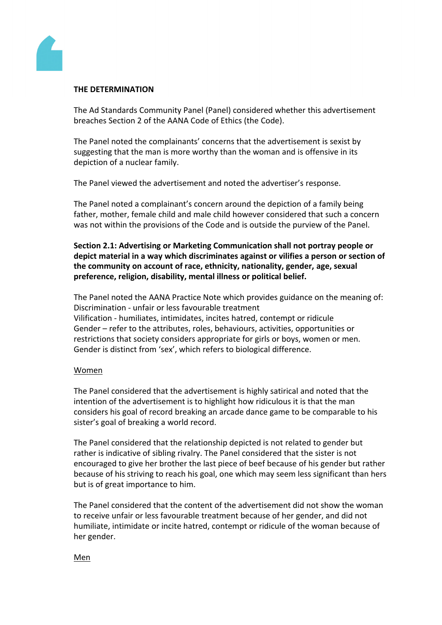

# **THE DETERMINATION**

The Ad Standards Community Panel (Panel) considered whether this advertisement breaches Section 2 of the AANA Code of Ethics (the Code).

The Panel noted the complainants' concerns that the advertisement is sexist by suggesting that the man is more worthy than the woman and is offensive in its depiction of a nuclear family.

The Panel viewed the advertisement and noted the advertiser's response.

The Panel noted a complainant's concern around the depiction of a family being father, mother, female child and male child however considered that such a concern was not within the provisions of the Code and is outside the purview of the Panel.

**Section 2.1: Advertising or Marketing Communication shall not portray people or depict material in a way which discriminates against or vilifies a person or section of the community on account of race, ethnicity, nationality, gender, age, sexual preference, religion, disability, mental illness or political belief.**

The Panel noted the AANA Practice Note which provides guidance on the meaning of: Discrimination - unfair or less favourable treatment Vilification - humiliates, intimidates, incites hatred, contempt or ridicule Gender – refer to the attributes, roles, behaviours, activities, opportunities or restrictions that society considers appropriate for girls or boys, women or men. Gender is distinct from 'sex', which refers to biological difference.

# Women

The Panel considered that the advertisement is highly satirical and noted that the intention of the advertisement is to highlight how ridiculous it is that the man considers his goal of record breaking an arcade dance game to be comparable to his sister's goal of breaking a world record.

The Panel considered that the relationship depicted is not related to gender but rather is indicative of sibling rivalry. The Panel considered that the sister is not encouraged to give her brother the last piece of beef because of his gender but rather because of his striving to reach his goal, one which may seem less significant than hers but is of great importance to him.

The Panel considered that the content of the advertisement did not show the woman to receive unfair or less favourable treatment because of her gender, and did not humiliate, intimidate or incite hatred, contempt or ridicule of the woman because of her gender.

# Men